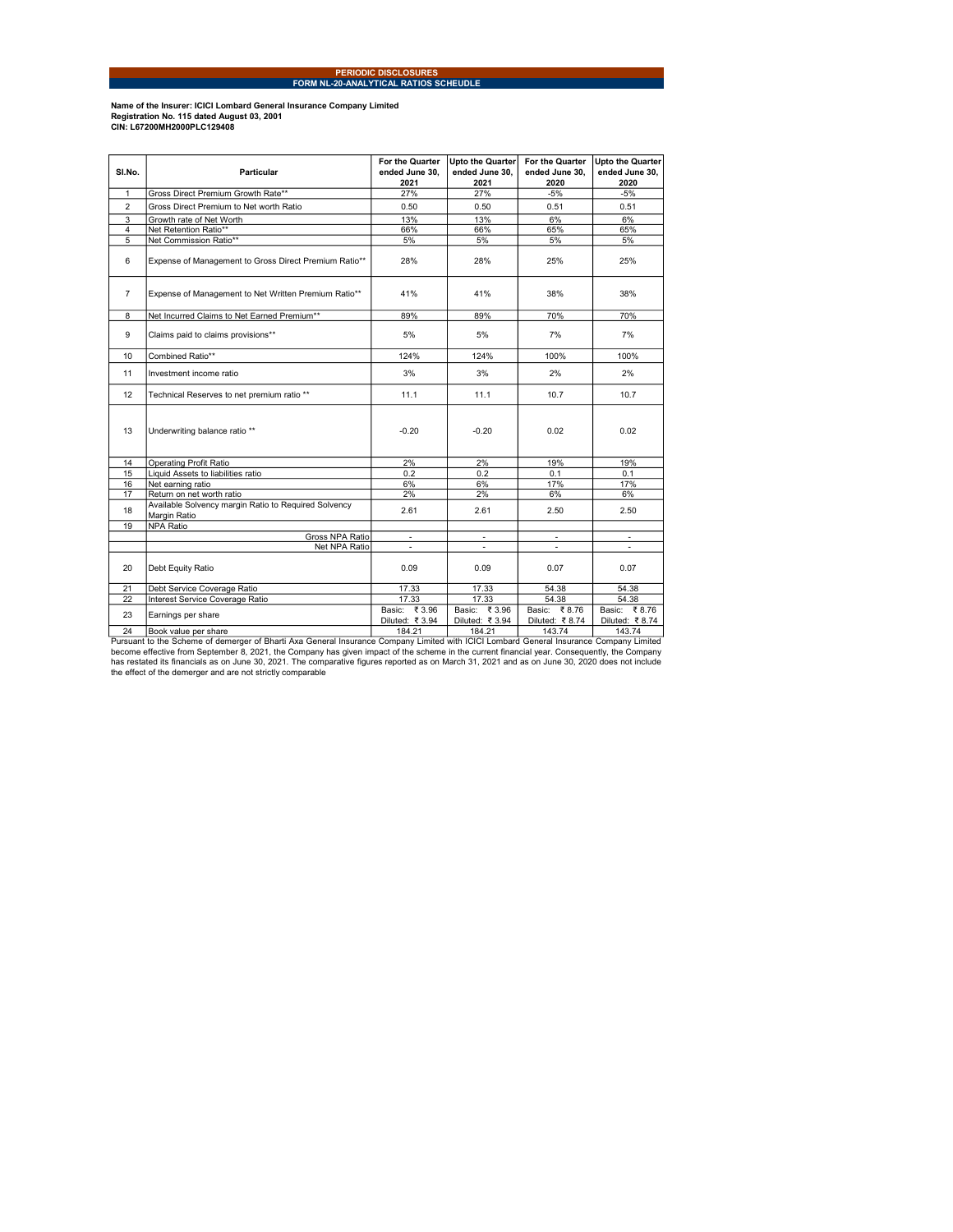## PERIODIC DISCLOSURES FORM NL-20-ANALYTICAL RATIOS SCHEUDLE

Name of the Insurer: ICICI Lombard General Insurance Company Limited Registration No. 115 dated August 03, 2001 CIN: L67200MH2000PLC129408

| SI.No.         | Particular                                                           | For the Quarter<br>ended June 30, | <b>Upto the Quarter</b><br>ended June 30. | For the Quarter<br>ended June 30. | Upto the Quarter<br>ended June 30, |
|----------------|----------------------------------------------------------------------|-----------------------------------|-------------------------------------------|-----------------------------------|------------------------------------|
|                |                                                                      | 2021                              | 2021                                      | 2020                              | 2020                               |
| $\mathbf{1}$   | Gross Direct Premium Growth Rate**                                   | 27%                               | 27%                                       | $-5%$                             | $-5%$                              |
| $\overline{2}$ | Gross Direct Premium to Net worth Ratio                              | 0.50                              | 0.50                                      | 0.51                              | 0.51                               |
| 3              | Growth rate of Net Worth                                             | 13%                               | 13%                                       | 6%                                | 6%                                 |
| $\overline{4}$ | Net Retention Ratio**                                                | 66%                               | 66%                                       | 65%                               | 65%                                |
| 5              | Net Commission Ratio**                                               | 5%                                | 5%                                        | 5%                                | 5%                                 |
| 6              | Expense of Management to Gross Direct Premium Ratio**                | 28%                               | 28%                                       | 25%                               | 25%                                |
| $\overline{7}$ | Expense of Management to Net Written Premium Ratio**                 | 41%                               | 41%                                       | 38%                               | 38%                                |
| 8              | Net Incurred Claims to Net Earned Premium**                          | 89%                               | 89%                                       | 70%                               | 70%                                |
| 9              | Claims paid to claims provisions**                                   | 5%                                | 5%                                        | 7%                                | 7%                                 |
| 10             | Combined Ratio**                                                     | 124%                              | 124%                                      | 100%                              | 100%                               |
| 11             | Investment income ratio                                              | 3%                                | 3%                                        | 2%                                | 2%                                 |
| 12             | Technical Reserves to net premium ratio **                           | 11.1                              | 11.1                                      | 10.7                              | 10.7                               |
| 13             | Underwriting balance ratio **                                        | $-0.20$                           | $-0.20$                                   | 0.02                              | 0.02                               |
| 14             | <b>Operating Profit Ratio</b>                                        | 2%                                | 2%                                        | 19%                               | 19%                                |
| 15             | Liquid Assets to liabilities ratio                                   | 0.2                               | 0.2                                       | 0.1                               | 0.1                                |
| 16             | Net earning ratio                                                    | 6%                                | 6%                                        | 17%                               | 17%                                |
| 17             | Return on net worth ratio                                            | 2%                                | 2%                                        | 6%                                | 6%                                 |
| 18             | Available Solvency margin Ratio to Required Solvency<br>Margin Ratio | 2.61                              | 2.61                                      | 2.50                              | 2.50                               |
| 19             | <b>NPA Ratio</b>                                                     |                                   |                                           |                                   |                                    |
|                | Gross NPA Ratio                                                      |                                   |                                           |                                   |                                    |
|                | Net NPA Ratio                                                        | $\overline{\phantom{a}}$          | $\overline{\phantom{a}}$                  | $\blacksquare$                    | $\blacksquare$                     |
| 20             | Debt Equity Ratio                                                    | 0.09                              | 0.09                                      | 0.07                              | 0.07                               |
| 21             | Debt Service Coverage Ratio                                          | 17.33                             | 17.33                                     | 54.38                             | 54.38                              |
| 22             | Interest Service Coverage Ratio                                      | 17.33                             | 17.33                                     | 54.38                             | 54.38                              |
| 23             | Earnings per share                                                   | Basic: ₹3.96<br>Diluted: ₹3.94    | Basic: ₹3.96<br>Diluted: ₹ 3.94           | Basic: ₹8.76<br>Diluted: ₹8.74    | Basic: ₹8.76<br>Diluted: ₹8.74     |
| 24             | Book value per share                                                 | 184.21                            | 184.21                                    | 143.74                            | 143.74                             |
|                |                                                                      |                                   |                                           |                                   |                                    |

24 Book value per share<br>Pursuant to the Scheme of demerger of Bharti Axa General Insurance Company Limited with ICICI Lombard General Insurance Company Limited<br>become effective from September 8, 2021, the Company has given